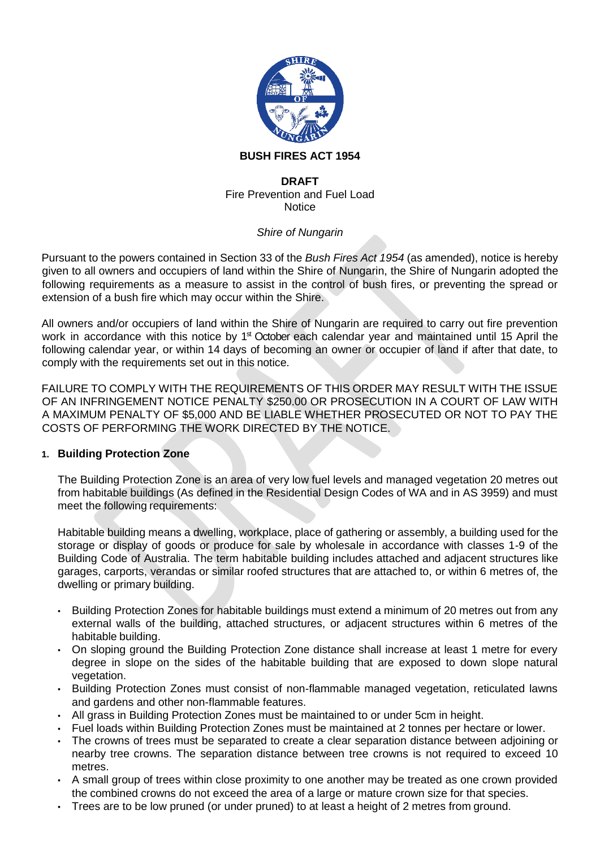

### **BUSH FIRES ACT 1954**

#### **DRAFT** Fire Prevention and Fuel Load **Notice**

### *Shire of Nungarin*

Pursuant to the powers contained in Section 33 of the *Bush Fires Act 1954* (as amended), notice is hereby given to all owners and occupiers of land within the Shire of Nungarin, the Shire of Nungarin adopted the following requirements as a measure to assist in the control of bush fires, or preventing the spread or extension of a bush fire which may occur within the Shire.

All owners and/or occupiers of land within the Shire of Nungarin are required to carry out fire prevention work in accordance with this notice by 1<sup>st</sup> October each calendar year and maintained until 15 April the following calendar year, or within 14 days of becoming an owner or occupier of land if after that date, to comply with the requirements set out in this notice.

FAILURE TO COMPLY WITH THE REQUIREMENTS OF THIS ORDER MAY RESULT WITH THE ISSUE OF AN INFRINGEMENT NOTICE PENALTY \$250.00 OR PROSECUTION IN A COURT OF LAW WITH A MAXIMUM PENALTY OF \$5,000 AND BE LIABLE WHETHER PROSECUTED OR NOT TO PAY THE COSTS OF PERFORMING THE WORK DIRECTED BY THE NOTICE.

### **1. Building Protection Zone**

The Building Protection Zone is an area of very low fuel levels and managed vegetation 20 metres out from habitable buildings (As defined in the Residential Design Codes of WA and in AS 3959) and must meet the following requirements:

Habitable building means a dwelling, workplace, place of gathering or assembly, a building used for the storage or display of goods or produce for sale by wholesale in accordance with classes 1-9 of the Building Code of Australia. The term habitable building includes attached and adjacent structures like garages, carports, verandas or similar roofed structures that are attached to, or within 6 metres of, the dwelling or primary building.

- Building Protection Zones for habitable buildings must extend a minimum of 20 metres out from any external walls of the building, attached structures, or adjacent structures within 6 metres of the habitable building.
- On sloping ground the Building Protection Zone distance shall increase at least 1 metre for every degree in slope on the sides of the habitable building that are exposed to down slope natural vegetation.
- Building Protection Zones must consist of non-flammable managed vegetation, reticulated lawns and gardens and other non-flammable features.
- All grass in Building Protection Zones must be maintained to or under 5cm in height.
- Fuel loads within Building Protection Zones must be maintained at 2 tonnes per hectare or lower.
- The crowns of trees must be separated to create a clear separation distance between adjoining or nearby tree crowns. The separation distance between tree crowns is not required to exceed 10 metres.
- A small group of trees within close proximity to one another may be treated as one crown provided the combined crowns do not exceed the area of a large or mature crown size for that species.
- Trees are to be low pruned (or under pruned) to at least a height of 2 metres from ground.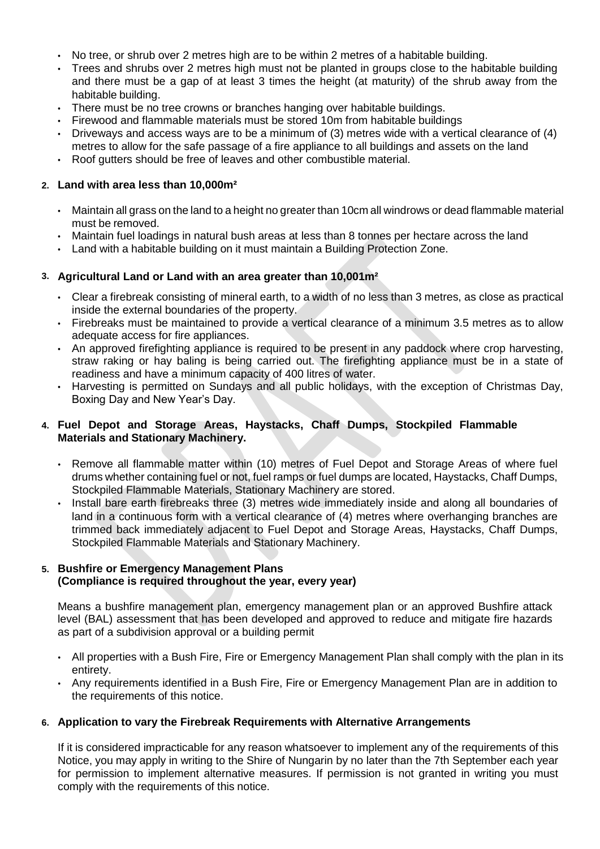- No tree, or shrub over 2 metres high are to be within 2 metres of a habitable building.
- Trees and shrubs over 2 metres high must not be planted in groups close to the habitable building and there must be a gap of at least 3 times the height (at maturity) of the shrub away from the habitable building.
- There must be no tree crowns or branches hanging over habitable buildings.
- Firewood and flammable materials must be stored 10m from habitable buildings
- Driveways and access ways are to be a minimum of (3) metres wide with a vertical clearance of (4) metres to allow for the safe passage of a fire appliance to all buildings and assets on the land
- Roof gutters should be free of leaves and other combustible material.

### **2. Land with area less than 10,000m²**

- Maintain all grass on the land to a height no greater than 10cm all windrows or dead flammable material must be removed.
- Maintain fuel loadings in natural bush areas at less than 8 tonnes per hectare across the land
- Land with a habitable building on it must maintain a Building Protection Zone.

## **3. Agricultural Land or Land with an area greater than 10,001m²**

- Clear a firebreak consisting of mineral earth, to a width of no less than 3 metres, as close as practical inside the external boundaries of the property.
- Firebreaks must be maintained to provide a vertical clearance of a minimum 3.5 metres as to allow adequate access for fire appliances.
- An approved firefighting appliance is required to be present in any paddock where crop harvesting, straw raking or hay baling is being carried out. The firefighting appliance must be in a state of readiness and have a minimum capacity of 400 litres of water.
- Harvesting is permitted on Sundays and all public holidays, with the exception of Christmas Day, Boxing Day and New Year's Day.

### **4. Fuel Depot and Storage Areas, Haystacks, Chaff Dumps, Stockpiled Flammable Materials and Stationary Machinery.**

- Remove all flammable matter within (10) metres of Fuel Depot and Storage Areas of where fuel drums whether containing fuel or not, fuel ramps or fuel dumps are located, Haystacks, Chaff Dumps, Stockpiled Flammable Materials, Stationary Machinery are stored.
- Install bare earth firebreaks three (3) metres wide immediately inside and along all boundaries of land in a continuous form with a vertical clearance of (4) metres where overhanging branches are trimmed back immediately adjacent to Fuel Depot and Storage Areas, Haystacks, Chaff Dumps, Stockpiled Flammable Materials and Stationary Machinery.

### **5. Bushfire or Emergency Management Plans (Compliance is required throughout the year, every year)**

Means a bushfire management plan, emergency management plan or an approved Bushfire attack level (BAL) assessment that has been developed and approved to reduce and mitigate fire hazards as part of a subdivision approval or a building permit

- All properties with a Bush Fire, Fire or Emergency Management Plan shall comply with the plan in its entirety.
- Any requirements identified in a Bush Fire, Fire or Emergency Management Plan are in addition to the requirements of this notice.

### **6. Application to vary the Firebreak Requirements with Alternative Arrangements**

If it is considered impracticable for any reason whatsoever to implement any of the requirements of this Notice, you may apply in writing to the Shire of Nungarin by no later than the 7th September each year for permission to implement alternative measures. If permission is not granted in writing you must comply with the requirements of this notice.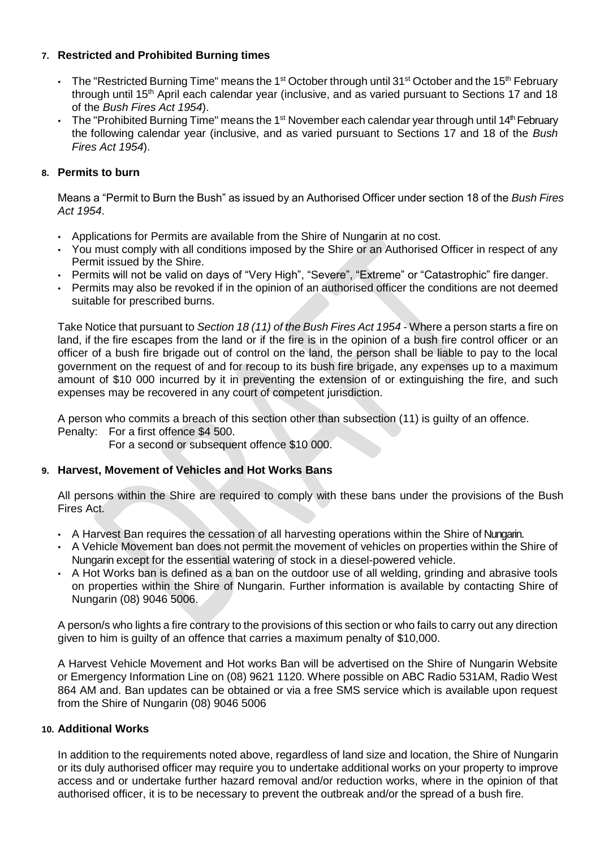# **7. Restricted and Prohibited Burning times**

- $\bm{\cdot}$  The "Restricted Burning Time" means the 1st October through until 31st October and the 15<sup>th</sup> February through until 15<sup>th</sup> April each calendar year (inclusive, and as varied pursuant to Sections 17 and 18 of the *Bush Fires Act 1954*).
- $\bm{\cdot}$  The "Prohibited Burning Time" means the 1<sup>st</sup> November each calendar year through until 14<sup>th</sup> February the following calendar year (inclusive, and as varied pursuant to Sections 17 and 18 of the *Bush Fires Act 1954*).

# **8. Permits to burn**

Means a "Permit to Burn the Bush" as issued by an Authorised Officer under section 18 of the *Bush Fires Act 1954*.

- Applications for Permits are available from the Shire of Nungarin at no cost.
- You must comply with all conditions imposed by the Shire or an Authorised Officer in respect of any Permit issued by the Shire.
- Permits will not be valid on days of "Very High", "Severe", "Extreme" or "Catastrophic" fire danger.
- Permits may also be revoked if in the opinion of an authorised officer the conditions are not deemed suitable for prescribed burns.

Take Notice that pursuant to *Section 18 (11) of the Bush Fires Act 1954* - Where a person starts a fire on land, if the fire escapes from the land or if the fire is in the opinion of a bush fire control officer or an officer of a bush fire brigade out of control on the land, the person shall be liable to pay to the local government on the request of and for recoup to its bush fire brigade, any expenses up to a maximum amount of \$10 000 incurred by it in preventing the extension of or extinguishing the fire, and such expenses may be recovered in any court of competent jurisdiction.

A person who commits a breach of this section other than subsection (11) is guilty of an offence.

Penalty: For a first offence \$4 500.

For a second or subsequent offence \$10 000.

### **9. Harvest, Movement of Vehicles and Hot Works Bans**

All persons within the Shire are required to comply with these bans under the provisions of the Bush Fires Act.

- A Harvest Ban requires the cessation of all harvesting operations within the Shire of Nungarin.
- A Vehicle Movement ban does not permit the movement of vehicles on properties within the Shire of Nungarin except for the essential watering of stock in a diesel-powered vehicle.
- A Hot Works ban is defined as a ban on the outdoor use of all welding, grinding and abrasive tools on properties within the Shire of Nungarin. Further information is available by contacting Shire of Nungarin (08) 9046 5006.

A person/s who lights a fire contrary to the provisions of this section or who fails to carry out any direction given to him is guilty of an offence that carries a maximum penalty of \$10,000.

A Harvest Vehicle Movement and Hot works Ban will be advertised on the Shire of Nungarin Website or Emergency Information Line on (08) 9621 1120. Where possible on ABC Radio 531AM, Radio West 864 AM and. Ban updates can be obtained or via a free SMS service which is available upon request from the Shire of Nungarin (08) 9046 5006

### **10. Additional Works**

In addition to the requirements noted above, regardless of land size and location, the Shire of Nungarin or its duly authorised officer may require you to undertake additional works on your property to improve access and or undertake further hazard removal and/or reduction works, where in the opinion of that authorised officer, it is to be necessary to prevent the outbreak and/or the spread of a bush fire.